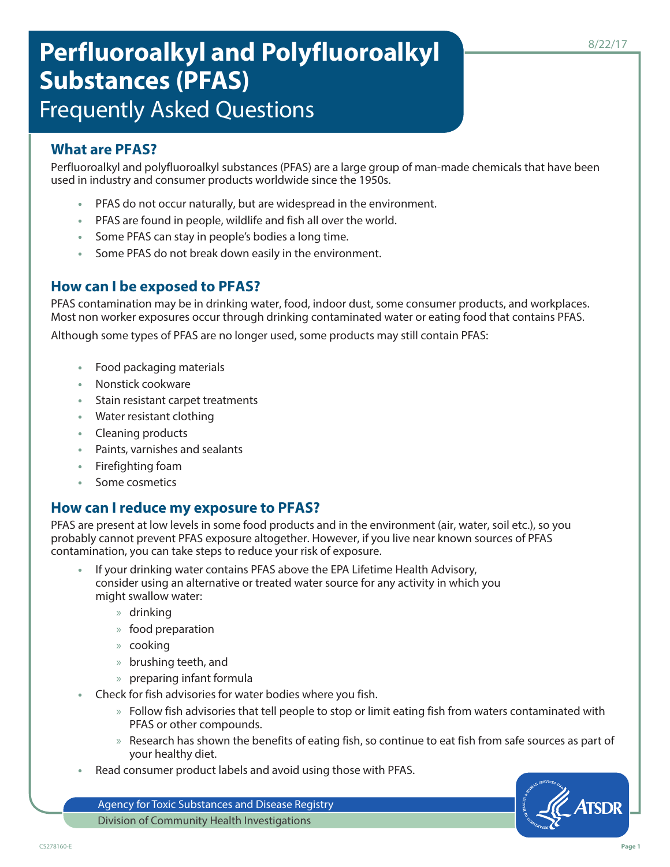# **Perfluoroalkyl and Polyfluoroalkyl Substances (PFAS)** Frequently Asked Questions

## **What are PFAS?**

Perfluoroalkyl and polyfluoroalkyl substances (PFAS) are a large group of man-made chemicals that have been used in industry and consumer products worldwide since the 1950s.

- **•** PFAS do not occur naturally, but are widespread in the environment.
- **•** PFAS are found in people, wildlife and fish all over the world.
- **•** Some PFAS can stay in people's bodies a long time.
- **•** Some PFAS do not break down easily in the environment.

### **How can I be exposed to PFAS?**

PFAS contamination may be in drinking water, food, indoor dust, some consumer products, and workplaces. Most non worker exposures occur through drinking contaminated water or eating food that contains PFAS.

Although some types of PFAS are no longer used, some products may still contain PFAS:

- **•** Food packaging materials
- **•** Nonstick cookware
- **•** Stain resistant carpet treatments
- **•** Water resistant clothing
- **•** Cleaning products
- **•** Paints, varnishes and sealants
- **•** Firefighting foam
- **•** Some cosmetics

#### **How can I reduce my exposure to PFAS?**

PFAS are present at low levels in some food products and in the environment (air, water, soil etc.), so you probably cannot prevent PFAS exposure altogether. However, if you live near known sources of PFAS contamination, you can take steps to reduce your risk of exposure.

- **•** If your drinking water contains PFAS above the EPA Lifetime Health Advisory, consider using an alternative or treated water source for any activity in which you might swallow water:
	- » drinking
	- » food preparation
	- » cooking
	- » brushing teeth, and
	- » preparing infant formula
- **•** Check for fish advisories for water bodies where you fish.
	- » Follow fish advisories that tell people to stop or limit eating fish from waters contaminated with PFAS or other compounds.
	- » Research has shown the benefits of eating fish, so continue to eat fish from safe sources as part of your healthy diet.
- **•** Read consumer product labels and avoid using those with PFAS.

Agency for Toxic Substances and Disease Registry Division of Community Health Investigations